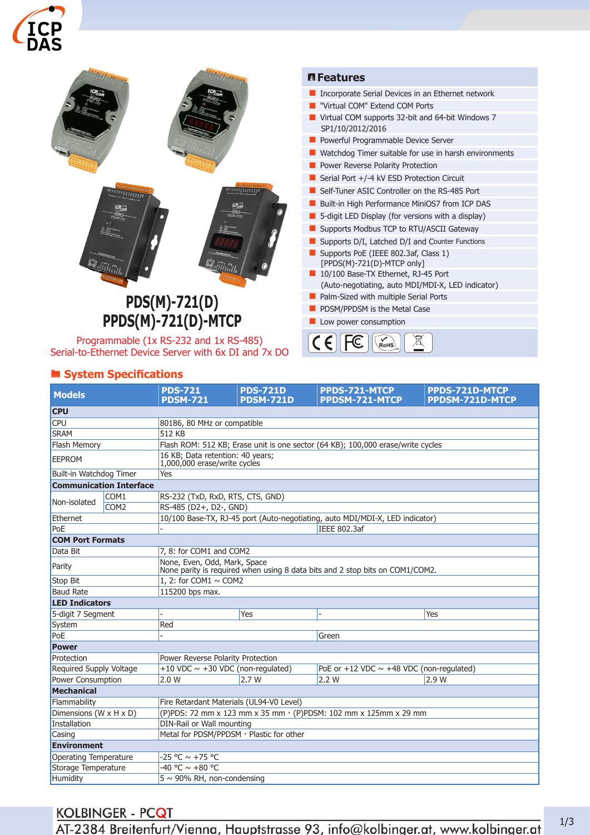



Serial-to-Ethernet Device Server with 6x DI and 7x DO

# ® **System Specifications**

| <b>Models</b>                  |                  | <b>PDS-721</b>                                                                                               | <b>PDS-721D</b>  | PPDS-721-MTCP                                   | PPDS-721D-MTCP  |  |  |
|--------------------------------|------------------|--------------------------------------------------------------------------------------------------------------|------------------|-------------------------------------------------|-----------------|--|--|
|                                |                  | <b>PDSM-721</b>                                                                                              | <b>PDSM-721D</b> | <b>PPDSM-721-MTCP</b>                           | PPDSM-721D-MTCP |  |  |
| <b>CPU</b>                     |                  |                                                                                                              |                  |                                                 |                 |  |  |
| <b>CPU</b>                     |                  | 80186, 80 MHz or compatible                                                                                  |                  |                                                 |                 |  |  |
| <b>SRAM</b>                    |                  | 512 KB                                                                                                       |                  |                                                 |                 |  |  |
| Flash Memory                   |                  | Flash ROM: 512 KB; Erase unit is one sector (64 KB); 100,000 erase/write cycles                              |                  |                                                 |                 |  |  |
| <b>EEPROM</b>                  |                  | 16 KB; Data retention: 40 years;<br>1,000,000 erase/write cycles                                             |                  |                                                 |                 |  |  |
| Built-in Watchdog Timer        |                  | Yes                                                                                                          |                  |                                                 |                 |  |  |
| <b>Communication Interface</b> |                  |                                                                                                              |                  |                                                 |                 |  |  |
| Non-isolated                   | COM <sub>1</sub> | RS-232 (TxD, RxD, RTS, CTS, GND)                                                                             |                  |                                                 |                 |  |  |
|                                | COM <sub>2</sub> | RS-485 (D2+, D2-, GND)                                                                                       |                  |                                                 |                 |  |  |
| Ethernet                       |                  | 10/100 Base-TX, RJ-45 port (Auto-negotiating, auto MDI/MDI-X, LED indicator)                                 |                  |                                                 |                 |  |  |
| PoE                            |                  | IEEE 802.3af                                                                                                 |                  |                                                 |                 |  |  |
| <b>COM Port Formats</b>        |                  |                                                                                                              |                  |                                                 |                 |  |  |
| Data Bit                       |                  | 7, 8: for COM1 and COM2                                                                                      |                  |                                                 |                 |  |  |
| Parity                         |                  | None, Even, Odd, Mark, Space<br>None parity is required when using 8 data bits and 2 stop bits on COM1/COM2. |                  |                                                 |                 |  |  |
| Stop Bit                       |                  | 1. 2: for COM1 $\sim$ COM2                                                                                   |                  |                                                 |                 |  |  |
| <b>Baud Rate</b>               |                  | 115200 bps max.                                                                                              |                  |                                                 |                 |  |  |
| <b>LED Indicators</b>          |                  |                                                                                                              |                  |                                                 |                 |  |  |
| 5-digit 7 Segment              |                  |                                                                                                              | Yes              |                                                 | Yes             |  |  |
| System                         |                  | Red                                                                                                          |                  |                                                 |                 |  |  |
| PoE                            |                  | Green                                                                                                        |                  |                                                 |                 |  |  |
| <b>Power</b>                   |                  |                                                                                                              |                  |                                                 |                 |  |  |
| Protection                     |                  | Power Reverse Polarity Protection                                                                            |                  |                                                 |                 |  |  |
| Required Supply Voltage        |                  | +10 VDC $\sim$ +30 VDC (non-regulated)                                                                       |                  | PoE or $+12$ VDC $\sim$ +48 VDC (non-regulated) |                 |  |  |
| <b>Power Consumption</b>       |                  | 2.0 W                                                                                                        | 2.7W             | 2.2 W                                           | 2.9 W           |  |  |
| Mechanical                     |                  |                                                                                                              |                  |                                                 |                 |  |  |
| Flammability                   |                  | Fire Retardant Materials (UL94-V0 Level)                                                                     |                  |                                                 |                 |  |  |
| Dimensions (W x H x D)         |                  | (P)PDS: 72 mm x 123 mm x 35 mm · (P)PDSM: 102 mm x 125mm x 29 mm                                             |                  |                                                 |                 |  |  |
| Installation                   |                  | DIN-Rail or Wall mounting                                                                                    |                  |                                                 |                 |  |  |
| Casing                         |                  | Metal for PDSM/PPDSM, Plastic for other                                                                      |                  |                                                 |                 |  |  |
| <b>Environment</b>             |                  |                                                                                                              |                  |                                                 |                 |  |  |
| Operating Temperature          |                  | $-25 °C \sim +75 °C$                                                                                         |                  |                                                 |                 |  |  |
| Storage Temperature            |                  | $-40 °C \sim +80 °C$                                                                                         |                  |                                                 |                 |  |  |
| Humidity                       |                  | $5 \sim 90\%$ RH, non-condensing                                                                             |                  |                                                 |                 |  |  |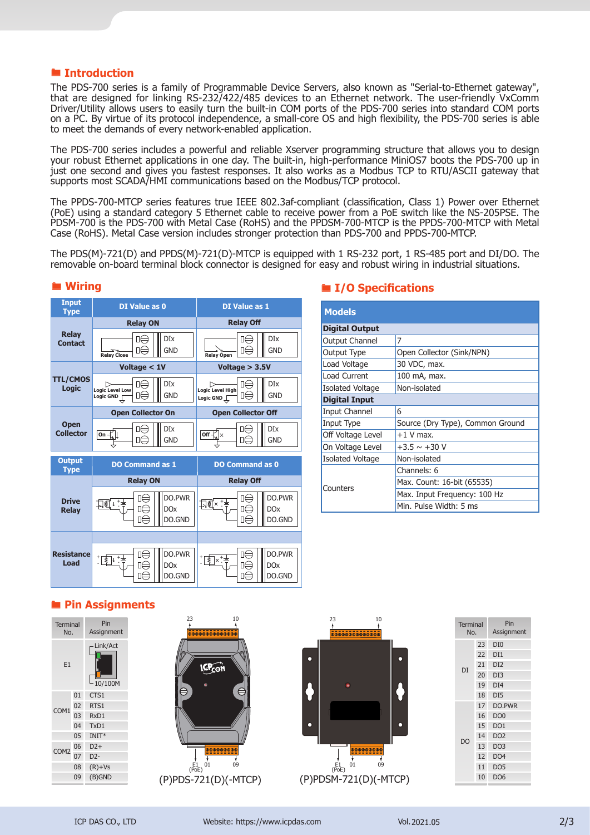### ® **Introduction**

The PDS-700 series is a family of Programmable Device Servers, also known as "Serial-to-Ethernet gateway", that are designed for linking RS-232/422/485 devices to an Ethernet network. The user-friendly VxComm Driver/Utility allows users to easily turn the built-in COM ports of the PDS-700 series into standard COM ports on a PC. By virtue of its protocol independence, a small-core OS and high flexibility, the PDS-700 series is able to meet the demands of every network-enabled application.

The PDS-700 series includes a powerful and reliable Xserver programming structure that allows you to design your robust Ethernet applications in one day. The built-in, high-performance MiniOS7 boots the PDS-700 up in just one second and gives you fastest responses. It also works as a Modbus TCP to RTU/ASCII gateway that supports most SCADA/HMI communications based on the Modbus/TCP protocol.

The PPDS-700-MTCP series features true IEEE 802.3af-compliant (classification, Class 1) Power over Ethernet (PoE) using a standard category 5 Ethernet cable to receive power from a PoE switch like the NS-205PSE. The PDSM-700 is the PDS-700 with Metal Case (RoHS) and the PPDSM-700-MTCP is the PPDS-700-MTCP with Metal Case (RoHS). Metal Case version includes stronger protection than PDS-700 and PPDS-700-MTCP.

The PDS(M)-721(D) and PPDS(M)-721(D)-MTCP is equipped with 1 RS-232 port, 1 RS-485 port and DI/DO. The removable on-board terminal block connector is designed for easy and robust wiring in industrial situations.



### ® **Wiring**

### ® **I/O Specifications**

| <b>Models</b>           |                                  |  |  |  |  |
|-------------------------|----------------------------------|--|--|--|--|
| <b>Digital Output</b>   |                                  |  |  |  |  |
| <b>Output Channel</b>   | 7                                |  |  |  |  |
| Output Type             | Open Collector (Sink/NPN)        |  |  |  |  |
| Load Voltage            | 30 VDC, max.                     |  |  |  |  |
| Load Current            | 100 mA, max.                     |  |  |  |  |
| <b>Isolated Voltage</b> | Non-isolated                     |  |  |  |  |
| <b>Digital Input</b>    |                                  |  |  |  |  |
| <b>Input Channel</b>    | 6                                |  |  |  |  |
| Input Type              | Source (Dry Type), Common Ground |  |  |  |  |
| Off Voltage Level       | $+1$ V max.                      |  |  |  |  |
| On Voltage Level        | $+3.5 \sim +30$ V                |  |  |  |  |
| <b>Isolated Voltage</b> | Non-isolated                     |  |  |  |  |
|                         | Channels: 6                      |  |  |  |  |
| Counters                | Max. Count: 16-bit (65535)       |  |  |  |  |
|                         | Max. Input Frequency: 100 Hz     |  |  |  |  |
|                         | Min. Pulse Width: 5 ms           |  |  |  |  |

## ® **Pin Assignments**

| <b>Terminal</b><br>No. |    | Pin<br>Assignment   |
|------------------------|----|---------------------|
| E1                     |    | Link/Act<br>10/100M |
|                        | 01 | CTS1                |
| COM1                   | 02 | RTS1                |
|                        | 03 | RxD1                |
|                        | 04 | TxD1                |
| 05                     |    | $INT*$              |
| COM <sub>2</sub>       | 06 | $D2+$               |
|                        | 07 | $D2-$               |
|                        | 08 | $(R)+Vs$            |
|                        | 09 | (B)GND              |
|                        |    |                     |





| <b>Terminal</b><br>No. |    | Pin<br>Assignment |
|------------------------|----|-------------------|
|                        | 23 | DI <sub>0</sub>   |
|                        | 22 | DI1               |
| DI                     | 21 | DI <sub>2</sub>   |
|                        | 20 | DI3               |
|                        | 19 | DI <sub>4</sub>   |
|                        | 18 | DI <sub>5</sub>   |
|                        | 17 | DO.PWR            |
|                        | 16 | DO <sub>0</sub>   |
|                        | 15 | DO <sub>1</sub>   |
| D <sub>O</sub>         | 14 | DO <sub>2</sub>   |
|                        | 13 | DO <sub>3</sub>   |
|                        | 12 | DO <sub>4</sub>   |
|                        | 11 | DO <sub>5</sub>   |
|                        | 10 | DO <sub>6</sub>   |
|                        |    |                   |